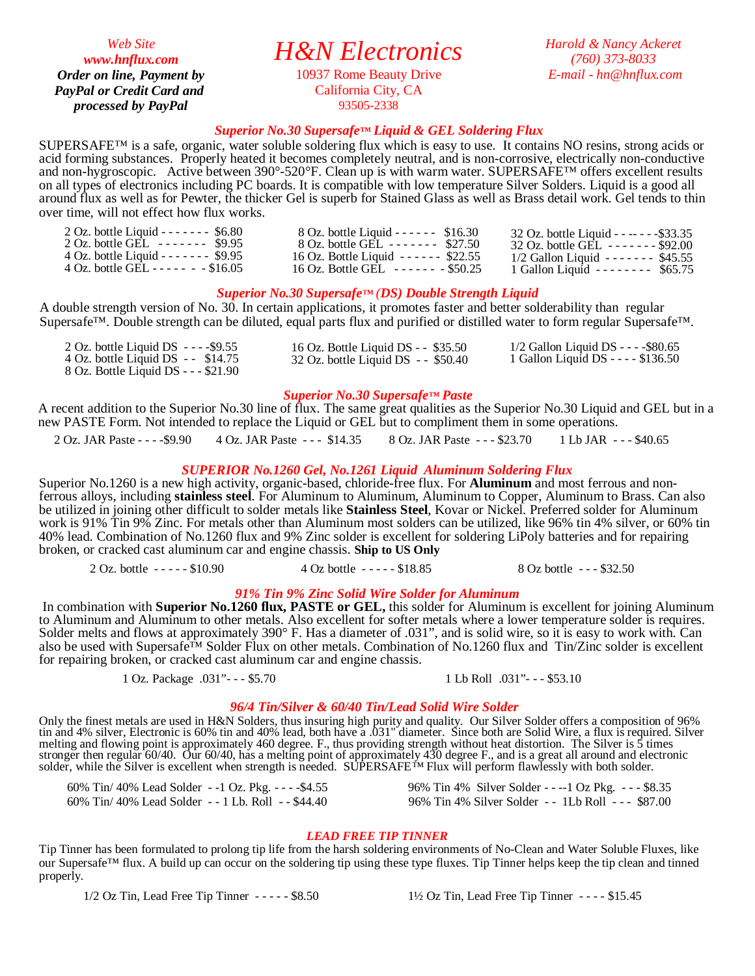*Web Site www.hnflux.com Order on line, Payment by PayPal or Credit Card and processed by PayPal* 

# *H&N Electronics*

10937 Rome Beauty Drive California City, CA 93505-2338

# *Harold & Nancy Ackeret (760) 373-8033 E-mail - hn@hnflux.com*

## *Superior No.30 Supersafe™ Liquid & GEL Soldering Flux*

SUPERSAFE™ is a safe, organic, water soluble soldering flux which is easy to use. It contains NO resins, strong acids or acid forming substances. Properly heated it becomes completely neutral, and is non-corrosive, electrically non-conductive and non-hygroscopic. Active between 390°-520°F. Clean up is with warm water. SUPERSAFE™ offers excellent results on all types of electronics including PC boards. It is compatible with low temperature Silver Solders. Liquid is a good all around flux as well as for Pewter, the thicker Gel is superb for Stained Glass as well as Brass detail work. Gel tends to thin over time, will not effect how flux works.

| 2 Oz. bottle Liquid - - - - - - - $$6.80$ | $8$ Oz. bottle Liquid - - - - - - $$16.30$  |                                         |
|-------------------------------------------|---------------------------------------------|-----------------------------------------|
| 2 Oz. bottle GEL $-$ ------ \$9.95        | $8 \text{ Oz}$ , bottle GEL ------- \$27.50 | 32 Oz. bottle GEL - - - - - - - \$92.00 |
| 4 Oz. bottle Liquid - - - - - - - \$9.95  | 16 Oz. Bottle Liquid - - - - - - $$22.55$   | $1/2$ Gallon Liquid ------- \$45.55     |
| $4$ Oz. bottle GEL - - - - - - - \$16.05  | 16 Oz. Bottle GEL $-$ - $-$ - $  -$ \$50.25 | 1 Gallon Liquid -------- $$65.75$       |

#### *Superior No.30 Supersafe™ (DS) Double Strength Liquid*

A double strength version of No. 30. In certain applications, it promotes faster and better solderability than regular Supersafe™. Double strength can be diluted, equal parts flux and purified or distilled water to form regular Supersafe™.

| 2 Oz. bottle Liquid DS $- - -$ \$9.55<br>$4$ Oz. bottle Liquid DS - $$14.75$<br>8 Oz. Bottle Liquid DS - - - \$21.90 | 16 Oz. Bottle Liquid DS - $$35.50$<br>$32$ Oz. bottle Liquid DS - $$50.40$ | 1/2 Gallon Liquid DS - - - - \$80.65<br>1 Gallon Liquid DS - - - - \$136.50 |
|----------------------------------------------------------------------------------------------------------------------|----------------------------------------------------------------------------|-----------------------------------------------------------------------------|
|----------------------------------------------------------------------------------------------------------------------|----------------------------------------------------------------------------|-----------------------------------------------------------------------------|

#### *Superior No.30 Supersafe™ Paste*

A recent addition to the Superior No.30 line of flux. The same great qualities as the Superior No.30 Liquid and GEL but in a new PASTE Form. Not intended to replace the Liquid or GEL but to compliment them in some operations.

2 Oz. JAR Paste - - - - \$9.90 4 Oz. JAR Paste - - - \$14.35 8 Oz. JAR Paste - - - \$23.70 1 Lb JAR - - - \$40.65

#### *SUPERIOR No.1260 Gel, No.1261 Liquid Aluminum Soldering Flux*

Superior No.1260 is a new high activity, organic-based, chloride-free flux. For **Aluminum** and most ferrous and nonferrous alloys, including **stainless steel**. For Aluminum to Aluminum, Aluminum to Copper, Aluminum to Brass. Can also be utilized in joining other difficult to solder metals like **Stainless Steel**, Kovar or Nickel. Preferred solder for Aluminum work is 91% Tin 9% Zinc. For metals other than Aluminum most solders can be utilized, like 96% tin 4% silver, or 60% tin 40% lead. Combination of No.1260 flux and 9% Zinc solder is excellent for soldering LiPoly batteries and for repairing broken, or cracked cast aluminum car and engine chassis. **Ship to US Only**

2 Oz. bottle - - - - - \$10.90 4 Oz bottle - - - - - \$18.85 8 Oz bottle - - - \$32.50

#### *91% Tin 9% Zinc Solid Wire Solder for Aluminum*

In combination with **Superior No.1260 flux, PASTE or GEL,** this solder for Aluminum is excellent for joining Aluminum to Aluminum and Aluminum to other metals. Also excellent for softer metals where a lower temperature solder is requires. Solder melts and flows at approximately 390° F. Has a diameter of .031", and is solid wire, so it is easy to work with. Can also be used with Supersafe™ Solder Flux on other metals. Combination of No.1260 flux and Tin/Zinc solder is excellent for repairing broken, or cracked cast aluminum car and engine chassis.

1 Oz. Package .031"- - - \$5.70 1 Lb Roll .031"- - - \$53.10

# *96/4 Tin/Silver & 60/40 Tin/Lead Solid Wire Solder*

Only the finest metals are used in H&N Solders, thus insuring high purity and quality. Our Silver Solder offers a composition of 96% tin and 4% silver, Electronic is 60% tin and 40% lead, both have a .031" diameter. Since both are Solid Wire, a flux is required. Silver melting and flowing point is approximately 460 degree. F., thus providing strength without heat distortion. The Silver is 5 times stronger then regular 60/40. Our 60/40, has a melting point of approximately 430 degree F., and is a great all around and electronic solder, while the Silver is excellent when strength is needed. SUPERSAFE*™* Flux will perform flawlessly with both solder.

| 60% Tin/40% Lead Solder - -1 Oz. Pkg. - - - -\$4.55 | 96% Tin 4% Silver Solder - - --1 Oz Pkg. - - - \$8.35 |
|-----------------------------------------------------|-------------------------------------------------------|
| 60% Tin/40% Lead Solder --1 Lb. Roll --\$44.40      | 96% Tin 4% Silver Solder - - 1Lb Roll - - - \$87.00   |

#### *LEAD FREE TIP TINNER*

Tip Tinner has been formulated to prolong tip life from the harsh soldering environments of No-Clean and Water Soluble Fluxes, like our Supersafe™ flux. A build up can occur on the soldering tip using these type fluxes. Tip Tinner helps keep the tip clean and tinned properly.

1/2 Oz Tin, Lead Free Tip Tinner - - - - - \$8.50 1½ Oz Tin, Lead Free Tip Tinner - - - - \$15.45